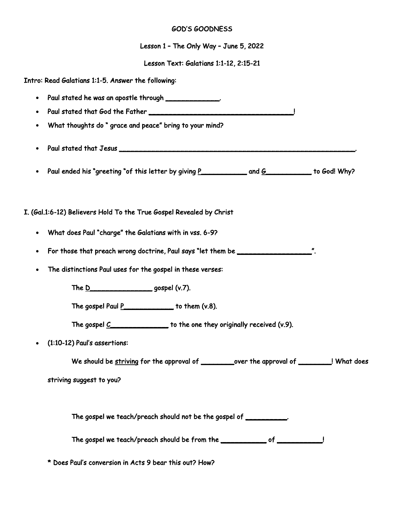## GOD'S GOODNESS

Lesson 1 – The Only Way – June 5, 2022

Lesson Text: Galatians 1:1-12, 2:15-21

Intro: Read Galatians 1:1-5. Answer the following:

- Paul stated he was an apostle through \_\_\_\_\_\_\_\_\_\_\_\_\_.
- Paul stated that God the Father \_\_\_\_\_\_\_\_\_\_\_\_\_\_\_\_\_\_\_\_\_\_\_\_\_\_\_\_\_\_\_\_\_\_\_!
- What thoughts do " grace and peace" bring to your mind?
- Paul stated that Jesus \_\_\_\_\_\_\_\_\_\_\_\_\_\_\_\_\_\_\_\_\_\_\_\_\_\_\_\_\_\_\_\_\_\_\_\_\_\_\_\_\_\_\_\_\_\_\_\_\_\_\_\_\_\_\_\_\_.
- Paul ended his "greeting "of this letter by giving P\_\_\_\_\_\_\_\_\_\_\_\_\_\_ and G\_\_\_\_\_\_\_\_\_\_\_ to God! Why?

## I. (Gal.1:6-12) Believers Hold To the True Gospel Revealed by Christ

- What does Paul "charge" the Galatians with in vss. 6-9?
- For those that preach wrong doctrine, Paul says "let them be \_\_\_\_\_\_\_\_\_\_\_\_\_\_\_\_\_\_
- The distinctions Paul uses for the gospel in these verses:

The  $D_$  gospel (v.7).

The gospel Paul  $P_$  to them (v.8).

The gospel  $C_$  to the one they originally received (v.9).

• (1:10-12) Paul's assertions:

We should be striving for the approval of \_\_\_\_\_\_\_\_\_\_\_over the approval of \_\_\_\_\_\_\_\_! What does

striving suggest to you?

The gospel we teach/preach should not be the gospel of \_\_\_\_\_\_\_\_\_\_\_.

The gospel we teach/preach should be from the \_\_\_\_\_\_\_\_\_\_\_\_\_ of \_\_\_\_\_\_\_\_\_\_\_!

\* Does Paul's conversion in Acts 9 bear this out? How?